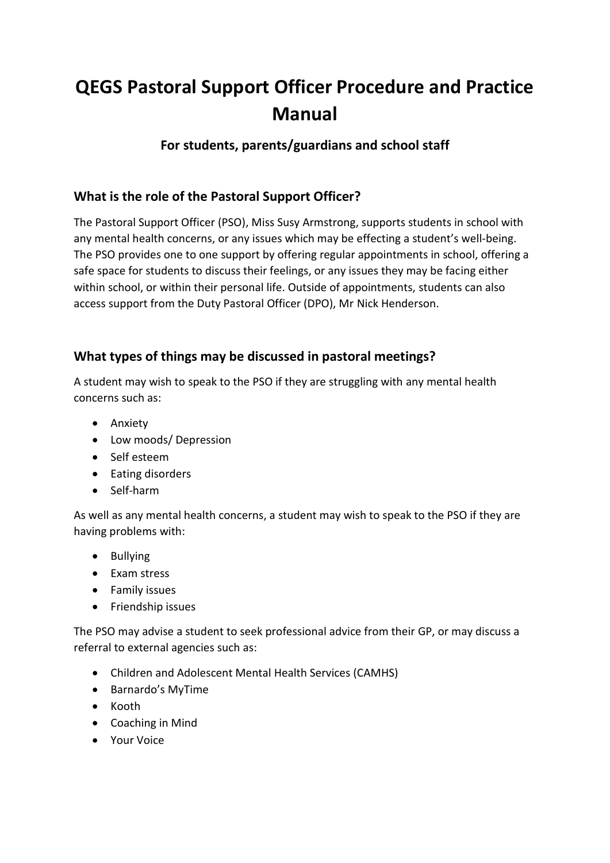# **QEGS Pastoral Support Officer Procedure and Practice Manual**

# **For students, parents/guardians and school staff**

## **What is the role of the Pastoral Support Officer?**

The Pastoral Support Officer (PSO), Miss Susy Armstrong, supports students in school with any mental health concerns, or any issues which may be effecting a student's well-being. The PSO provides one to one support by offering regular appointments in school, offering a safe space for students to discuss their feelings, or any issues they may be facing either within school, or within their personal life. Outside of appointments, students can also access support from the Duty Pastoral Officer (DPO), Mr Nick Henderson.

# **What types of things may be discussed in pastoral meetings?**

A student may wish to speak to the PSO if they are struggling with any mental health concerns such as:

- Anxiety
- Low moods/ Depression
- Self esteem
- Eating disorders
- Self-harm

As well as any mental health concerns, a student may wish to speak to the PSO if they are having problems with:

- Bullying
- Exam stress
- **•** Family issues
- Friendship issues

The PSO may advise a student to seek professional advice from their GP, or may discuss a referral to external agencies such as:

- Children and Adolescent Mental Health Services (CAMHS)
- Barnardo's MyTime
- Kooth
- Coaching in Mind
- Your Voice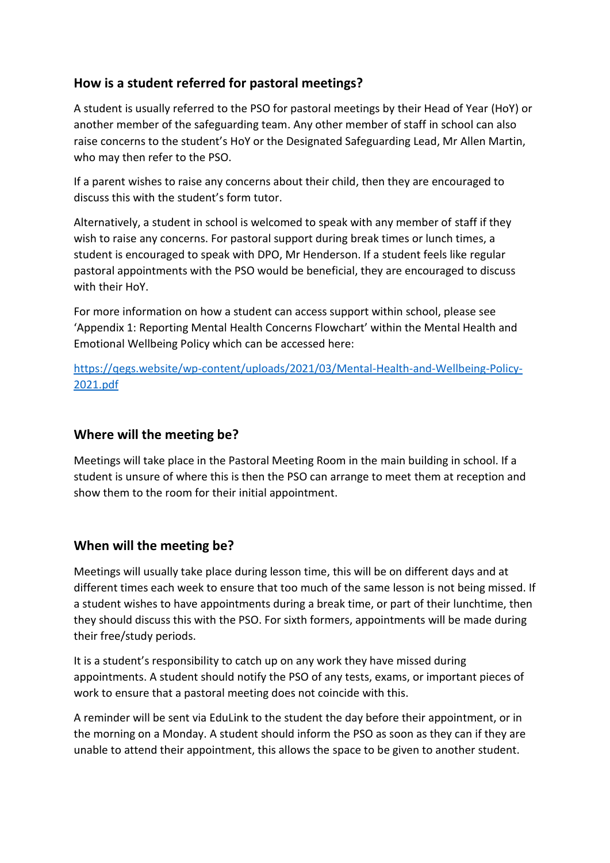## **How is a student referred for pastoral meetings?**

A student is usually referred to the PSO for pastoral meetings by their Head of Year (HoY) or another member of the safeguarding team. Any other member of staff in school can also raise concerns to the student's HoY or the Designated Safeguarding Lead, Mr Allen Martin, who may then refer to the PSO.

If a parent wishes to raise any concerns about their child, then they are encouraged to discuss this with the student's form tutor.

Alternatively, a student in school is welcomed to speak with any member of staff if they wish to raise any concerns. For pastoral support during break times or lunch times, a student is encouraged to speak with DPO, Mr Henderson. If a student feels like regular pastoral appointments with the PSO would be beneficial, they are encouraged to discuss with their HoY.

For more information on how a student can access support within school, please see 'Appendix 1: Reporting Mental Health Concerns Flowchart' within the Mental Health and Emotional Wellbeing Policy which can be accessed here:

[https://qegs.website/wp-content/uploads/2021/03/Mental-Health-and-Wellbeing-Policy-](https://qegs.website/wp-content/uploads/2021/03/Mental-Health-and-Wellbeing-Policy-2021.pdf)[2021.pdf](https://qegs.website/wp-content/uploads/2021/03/Mental-Health-and-Wellbeing-Policy-2021.pdf)

### **Where will the meeting be?**

Meetings will take place in the Pastoral Meeting Room in the main building in school. If a student is unsure of where this is then the PSO can arrange to meet them at reception and show them to the room for their initial appointment.

## **When will the meeting be?**

Meetings will usually take place during lesson time, this will be on different days and at different times each week to ensure that too much of the same lesson is not being missed. If a student wishes to have appointments during a break time, or part of their lunchtime, then they should discuss this with the PSO. For sixth formers, appointments will be made during their free/study periods.

It is a student's responsibility to catch up on any work they have missed during appointments. A student should notify the PSO of any tests, exams, or important pieces of work to ensure that a pastoral meeting does not coincide with this.

A reminder will be sent via EduLink to the student the day before their appointment, or in the morning on a Monday. A student should inform the PSO as soon as they can if they are unable to attend their appointment, this allows the space to be given to another student.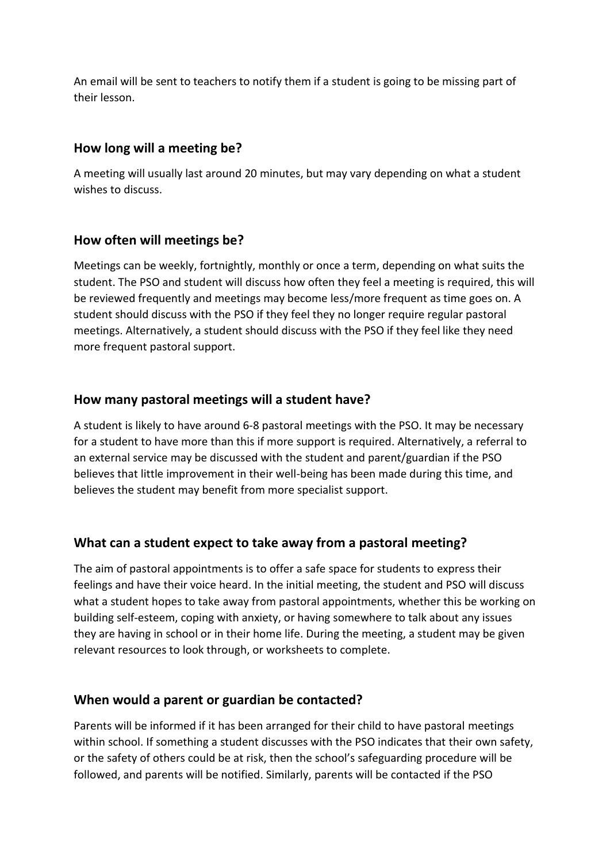An email will be sent to teachers to notify them if a student is going to be missing part of their lesson.

#### **How long will a meeting be?**

A meeting will usually last around 20 minutes, but may vary depending on what a student wishes to discuss.

#### **How often will meetings be?**

Meetings can be weekly, fortnightly, monthly or once a term, depending on what suits the student. The PSO and student will discuss how often they feel a meeting is required, this will be reviewed frequently and meetings may become less/more frequent as time goes on. A student should discuss with the PSO if they feel they no longer require regular pastoral meetings. Alternatively, a student should discuss with the PSO if they feel like they need more frequent pastoral support.

#### **How many pastoral meetings will a student have?**

A student is likely to have around 6-8 pastoral meetings with the PSO. It may be necessary for a student to have more than this if more support is required. Alternatively, a referral to an external service may be discussed with the student and parent/guardian if the PSO believes that little improvement in their well-being has been made during this time, and believes the student may benefit from more specialist support.

#### **What can a student expect to take away from a pastoral meeting?**

The aim of pastoral appointments is to offer a safe space for students to express their feelings and have their voice heard. In the initial meeting, the student and PSO will discuss what a student hopes to take away from pastoral appointments, whether this be working on building self-esteem, coping with anxiety, or having somewhere to talk about any issues they are having in school or in their home life. During the meeting, a student may be given relevant resources to look through, or worksheets to complete.

#### **When would a parent or guardian be contacted?**

Parents will be informed if it has been arranged for their child to have pastoral meetings within school. If something a student discusses with the PSO indicates that their own safety, or the safety of others could be at risk, then the school's safeguarding procedure will be followed, and parents will be notified. Similarly, parents will be contacted if the PSO